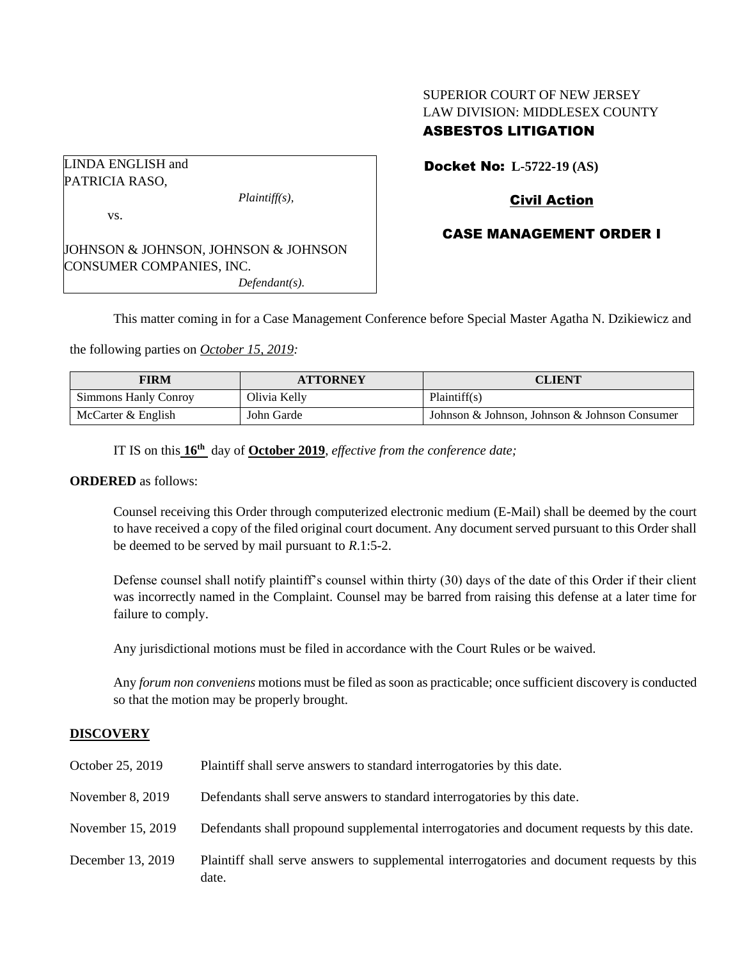# SUPERIOR COURT OF NEW JERSEY LAW DIVISION: MIDDLESEX COUNTY ASBESTOS LITIGATION

LINDA ENGLISH and PATRICIA RASO, *Plaintiff(s),* vs. JOHNSON & JOHNSON, JOHNSON & JOHNSON CONSUMER COMPANIES, INC.

Docket No: **L-5722-19 (AS)**

# Civil Action

## CASE MANAGEMENT ORDER I

This matter coming in for a Case Management Conference before Special Master Agatha N. Dzikiewicz and

the following parties on *October 15, 2019:*

| <b>FIRM</b>          | <b>ATTORNEY</b> | <b>CLIENT</b>                                 |
|----------------------|-----------------|-----------------------------------------------|
| Simmons Hanly Conroy | Olivia Kelly    | Plaintiff(s)                                  |
| McCarter & English   | John Garde      | Johnson & Johnson, Johnson & Johnson Consumer |

IT IS on this **16th** day of **October 2019**, *effective from the conference date;*

*Defendant(s).*

#### **ORDERED** as follows:

Counsel receiving this Order through computerized electronic medium (E-Mail) shall be deemed by the court to have received a copy of the filed original court document. Any document served pursuant to this Order shall be deemed to be served by mail pursuant to *R*.1:5-2.

Defense counsel shall notify plaintiff's counsel within thirty (30) days of the date of this Order if their client was incorrectly named in the Complaint. Counsel may be barred from raising this defense at a later time for failure to comply.

Any jurisdictional motions must be filed in accordance with the Court Rules or be waived.

Any *forum non conveniens* motions must be filed as soon as practicable; once sufficient discovery is conducted so that the motion may be properly brought.

## **DISCOVERY**

| October 25, 2019  | Plaintiff shall serve answers to standard interrogatories by this date.                              |
|-------------------|------------------------------------------------------------------------------------------------------|
| November 8, 2019  | Defendants shall serve answers to standard interrogatories by this date.                             |
| November 15, 2019 | Defendants shall propound supplemental interrogatories and document requests by this date.           |
| December 13, 2019 | Plaintiff shall serve answers to supplemental interrogatories and document requests by this<br>date. |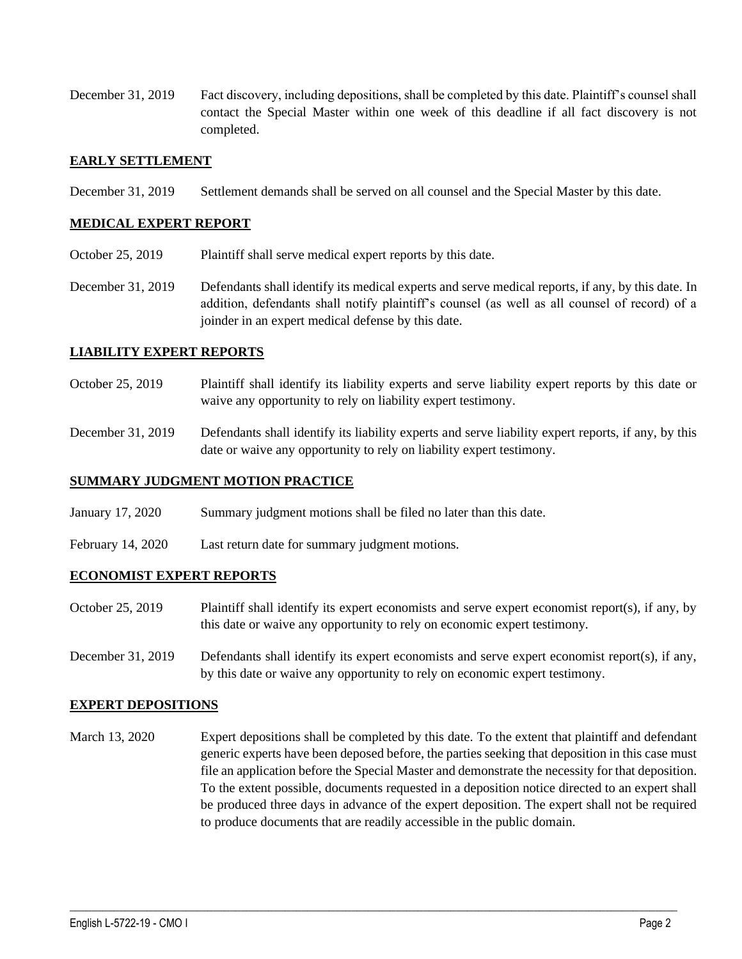December 31, 2019 Fact discovery, including depositions, shall be completed by this date. Plaintiff's counsel shall contact the Special Master within one week of this deadline if all fact discovery is not completed.

## **EARLY SETTLEMENT**

December 31, 2019 Settlement demands shall be served on all counsel and the Special Master by this date.

## **MEDICAL EXPERT REPORT**

- October 25, 2019 Plaintiff shall serve medical expert reports by this date.
- December 31, 2019 Defendants shall identify its medical experts and serve medical reports, if any, by this date. In addition, defendants shall notify plaintiff's counsel (as well as all counsel of record) of a joinder in an expert medical defense by this date.

## **LIABILITY EXPERT REPORTS**

- October 25, 2019 Plaintiff shall identify its liability experts and serve liability expert reports by this date or waive any opportunity to rely on liability expert testimony.
- December 31, 2019 Defendants shall identify its liability experts and serve liability expert reports, if any, by this date or waive any opportunity to rely on liability expert testimony.

## **SUMMARY JUDGMENT MOTION PRACTICE**

- January 17, 2020 Summary judgment motions shall be filed no later than this date.
- February 14, 2020 Last return date for summary judgment motions.

## **ECONOMIST EXPERT REPORTS**

- October 25, 2019 Plaintiff shall identify its expert economists and serve expert economist report(s), if any, by this date or waive any opportunity to rely on economic expert testimony.
- December 31, 2019 Defendants shall identify its expert economists and serve expert economist report(s), if any, by this date or waive any opportunity to rely on economic expert testimony.

## **EXPERT DEPOSITIONS**

March 13, 2020 Expert depositions shall be completed by this date. To the extent that plaintiff and defendant generic experts have been deposed before, the parties seeking that deposition in this case must file an application before the Special Master and demonstrate the necessity for that deposition. To the extent possible, documents requested in a deposition notice directed to an expert shall be produced three days in advance of the expert deposition. The expert shall not be required to produce documents that are readily accessible in the public domain.

 $\_$  , and the set of the set of the set of the set of the set of the set of the set of the set of the set of the set of the set of the set of the set of the set of the set of the set of the set of the set of the set of th